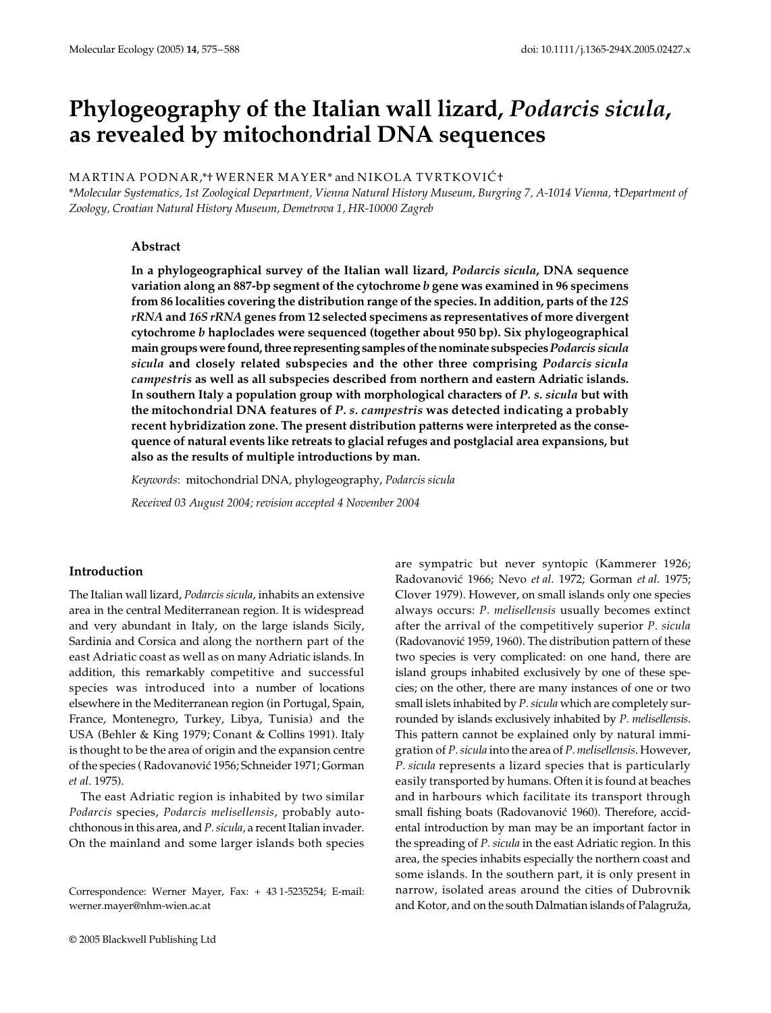# Phylogeography of the Italian wall lizard, *Podarcis sicula*, **as revealed by mitochondrial DNA sequences**

MARTINA PODNAR,\*† WERNER MAYER\* and NIKOLA TVRTKOVIC†

\**Molecular Systematics, 1st Zoological Department, Vienna Natural History Museum, Burgring 7, A-1014 Vienna,* †*Department of Zoology, Croatian Natural History Museum, Demetrova 1, HR-10000 Zagreb* 

# **Abstract**

**In a phylogeographical survey of the Italian wall lizard,** *Podarcis sicula***, DNA sequence variation along an 887-bp segment of the cytochrome** *b* **gene was examined in 96 specimens from 86 localities covering the distribution range of the species. In addition, parts of the** *12S rRNA* **and** *16S rRNA* **genes from 12 selected specimens as representatives of more divergent cytochrome** *b* **haploclades were sequenced (together about 950 bp). Six phylogeographical main groups were found, three representing samples of the nominate subspecies** *Podarcis sicula sicula* **and closely related subspecies and the other three comprising** *Podarcis sicula campestris* **as well as all subspecies described from northern and eastern Adriatic islands. In southern Italy a population group with morphological characters of** *P. s. sicula* **but with the mitochondrial DNA features of** *P. s. campestris* **was detected indicating a probably recent hybridization zone. The present distribution patterns were interpreted as the consequence of natural events like retreats to glacial refuges and postglacial area expansions, but also as the results of multiple introductions by man.**

*Keywords*: mitochondrial DNA, phylogeography, *Podarcis sicula*

*Received 03 August 2004; revision accepted 4 November 2004*

# **Introduction**

The Italian wall lizard, *Podarcis sicula*, inhabits an extensive area in the central Mediterranean region. It is widespread and very abundant in Italy, on the large islands Sicily, Sardinia and Corsica and along the northern part of the east Adriatic coast as well as on many Adriatic islands. In addition, this remarkably competitive and successful species was introduced into a number of locations elsewhere in the Mediterranean region (in Portugal, Spain, France, Montenegro, Turkey, Libya, Tunisia) and the USA (Behler & King 1979; Conant & Collins 1991). Italy is thought to be the area of origin and the expansion centre of the species ( Radovanoviç 1956; Schneider 1971; Gorman *et al*. 1975).

The east Adriatic region is inhabited by two similar *Podarcis* species, *Podarcis melisellensis*, probably autochthonous in this area, and *P. sicula*, a recent Italian invader. On the mainland and some larger islands both species

are sympatric but never syntopic (Kammerer 1926; Radovanoviç 1966; Nevo *et al*. 1972; Gorman *et al*. 1975; Clover 1979). However, on small islands only one species always occurs: *P. melisellensis* usually becomes extinct after the arrival of the competitively superior *P. sicula* (Radovanoviç 1959, 1960). The distribution pattern of these two species is very complicated: on one hand, there are island groups inhabited exclusively by one of these species; on the other, there are many instances of one or two small islets inhabited by *P. sicula* which are completely surrounded by islands exclusively inhabited by *P. melisellensis*. This pattern cannot be explained only by natural immigration of *P. sicula* into the area of *P. melisellensis*. However, *P. sicula* represents a lizard species that is particularly easily transported by humans. Often it is found at beaches and in harbours which facilitate its transport through small fishing boats (Radovanoviç 1960). Therefore, accidental introduction by man may be an important factor in the spreading of *P. sicula* in the east Adriatic region. In this area, the species inhabits especially the northern coast and some islands. In the southern part, it is only present in narrow, isolated areas around the cities of Dubrovnik and Kotor, and on the south Dalmatian islands of Palagruza,

Correspondence: Werner Mayer, Fax: + 43 1-5235254; E-mail: werner.mayer@nhm-wien.ac.at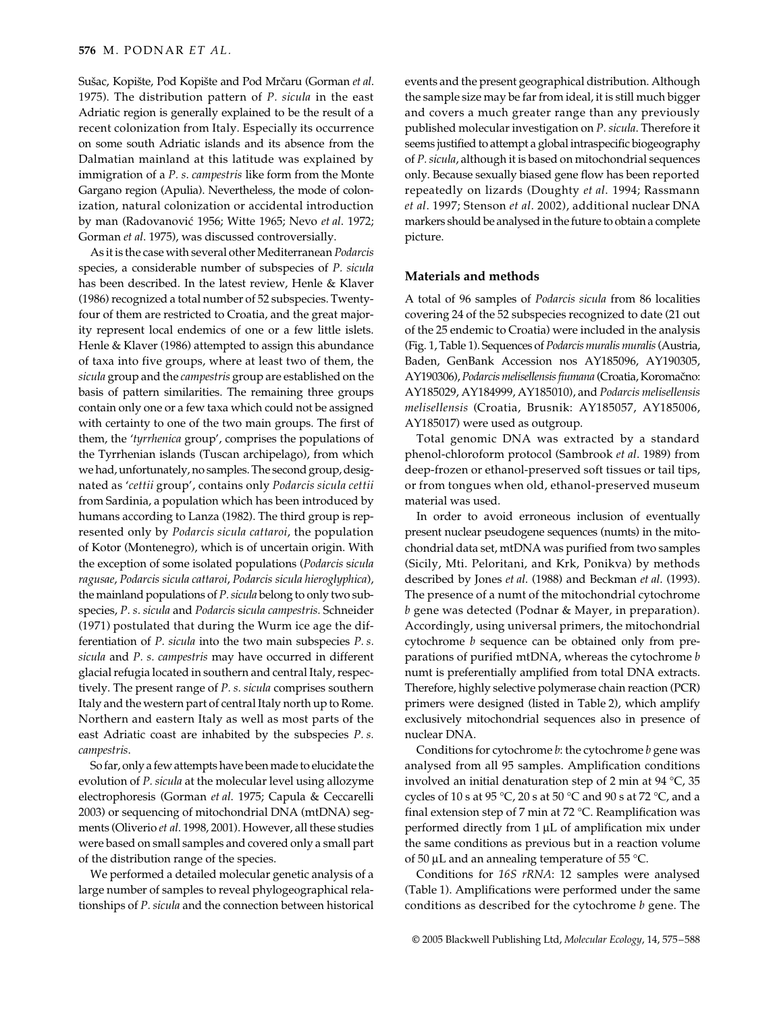Sušac, Kopište, Pod Kopište and Pod Mrčaru (Gorman et al. 1975). The distribution pattern of *P. sicula* in the east Adriatic region is generally explained to be the result of a recent colonization from Italy. Especially its occurrence on some south Adriatic islands and its absence from the Dalmatian mainland at this latitude was explained by immigration of a *P. s*. *campestris* like form from the Monte Gargano region (Apulia). Nevertheless, the mode of colonization, natural colonization or accidental introduction by man (Radovanoviç 1956; Witte 1965; Nevo *et al*. 1972; Gorman *et al*. 1975), was discussed controversially.

As it is the case with several other Mediterranean *Podarcis* species, a considerable number of subspecies of *P. sicula* has been described. In the latest review, Henle & Klaver (1986) recognized a total number of 52 subspecies. Twentyfour of them are restricted to Croatia, and the great majority represent local endemics of one or a few little islets. Henle & Klaver (1986) attempted to assign this abundance of taxa into five groups, where at least two of them, the *sicula* group and the *campestris* group are established on the basis of pattern similarities. The remaining three groups contain only one or a few taxa which could not be assigned with certainty to one of the two main groups. The first of them, the '*tyrrhenica* group', comprises the populations of the Tyrrhenian islands (Tuscan archipelago), from which we had, unfortunately, no samples. The second group, designated as '*cettii* group', contains only *Podarcis sicula cettii* from Sardinia, a population which has been introduced by humans according to Lanza (1982). The third group is represented only by *Podarcis sicula cattaroi*, the population of Kotor (Montenegro), which is of uncertain origin. With the exception of some isolated populations (*Podarcis* s*icula ragusae*, *Podarcis sicula cattaroi*, *Podarcis sicula hieroglyphica*), the mainland populations of *P. sicula* belong to only two subspecies, *P. s. sicula* and *Podarcis* s*icula campestris.* Schneider (1971) postulated that during the Wurm ice age the differentiation of *P. sicula* into the two main subspecies *P. s. sicula* and *P. s. campestris* may have occurred in different glacial refugia located in southern and central Italy, respectively. The present range of *P. s. sicula* comprises southern Italy and the western part of central Italy north up to Rome. Northern and eastern Italy as well as most parts of the east Adriatic coast are inhabited by the subspecies *P. s. campestris*.

So far, only a few attempts have been made to elucidate the evolution of *P. sicula* at the molecular level using allozyme electrophoresis (Gorman *et al*. 1975; Capula & Ceccarelli 2003) or sequencing of mitochondrial DNA (mtDNA) segments (Oliverio *et al*. 1998, 2001). However, all these studies were based on small samples and covered only a small part of the distribution range of the species.

We performed a detailed molecular genetic analysis of a large number of samples to reveal phylogeographical relationships of *P. sicula* and the connection between historical events and the present geographical distribution. Although the sample size may be far from ideal, it is still much bigger and covers a much greater range than any previously published molecular investigation on *P. sicula*. Therefore it seems justified to attempt a global intraspecific biogeography of *P. sicula*, although it is based on mitochondrial sequences only. Because sexually biased gene flow has been reported repeatedly on lizards (Doughty *et al*. 1994; Rassmann *et al*. 1997; Stenson *et al*. 2002), additional nuclear DNA markers should be analysed in the future to obtain a complete picture.

#### **Materials and methods**

A total of 96 samples of *Podarcis sicula* from 86 localities covering 24 of the 52 subspecies recognized to date (21 out of the 25 endemic to Croatia) were included in the analysis (Fig. 1, Table 1). Sequences of *Podarcis muralis muralis*(Austria, Baden, GenBank Accession nos AY185096, AY190305, AY190306), Podarcis melisellensis fiumana (Croatia, Koromačno: AY185029, AY184999, AY185010), and *Podarcis melisellensis melisellensis* (Croatia, Brusnik: AY185057, AY185006, AY185017) were used as outgroup.

Total genomic DNA was extracted by a standard phenol-chloroform protocol (Sambrook *et al*. 1989) from deep-frozen or ethanol-preserved soft tissues or tail tips, or from tongues when old, ethanol-preserved museum material was used.

In order to avoid erroneous inclusion of eventually present nuclear pseudogene sequences (numts) in the mitochondrial data set, mtDNA was purified from two samples (Sicily, Mti. Peloritani, and Krk, Ponikva) by methods described by Jones *et al*. (1988) and Beckman *et al*. (1993). The presence of a numt of the mitochondrial cytochrome *b* gene was detected (Podnar & Mayer, in preparation). Accordingly, using universal primers, the mitochondrial cytochrome *b* sequence can be obtained only from preparations of purified mtDNA, whereas the cytochrome *b* numt is preferentially amplified from total DNA extracts. Therefore, highly selective polymerase chain reaction (PCR) primers were designed (listed in Table 2), which amplify exclusively mitochondrial sequences also in presence of nuclear DNA.

Conditions for cytochrome *b*: the cytochrome *b* gene was analysed from all 95 samples. Amplification conditions involved an initial denaturation step of 2 min at 94 °C, 35 cycles of 10 s at 95 °C, 20 s at 50 °C and 90 s at 72 °C, and a final extension step of 7 min at 72 °C. Reamplification was performed directly from 1 µL of amplification mix under the same conditions as previous but in a reaction volume of 50 µL and an annealing temperature of 55 °C.

Conditions for *16S rRNA*: 12 samples were analysed (Table 1). Amplifications were performed under the same conditions as described for the cytochrome *b* gene. The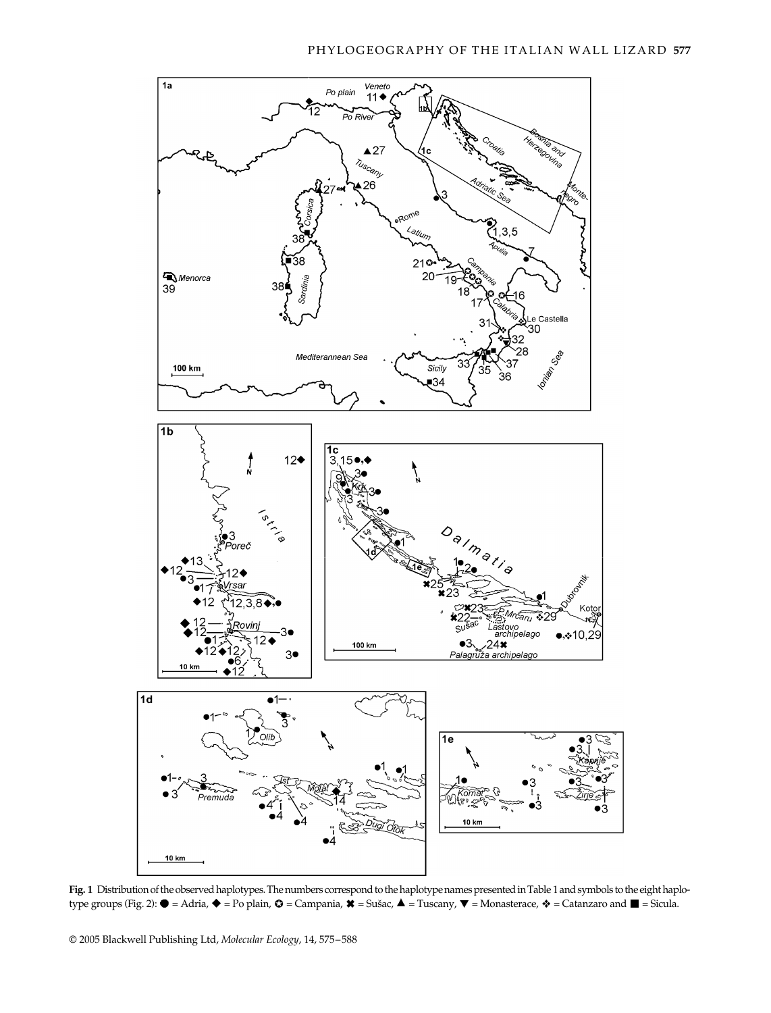

**Fig. 1** Distribution of the observed haplotypes. The numbers correspond to the haplotype names presented in Table 1 and symbols to the eight haplotype groups (Fig. 2):  $\bullet =$  Adria,  $\bullet =$  Po plain,  $\bullet =$  Campania,  $\star =$  Sušac,  $\bullet =$  Tuscany,  $\bullet =$  Monasterace,  $\bullet =$  Catanzaro and  $\bullet =$  Sicula.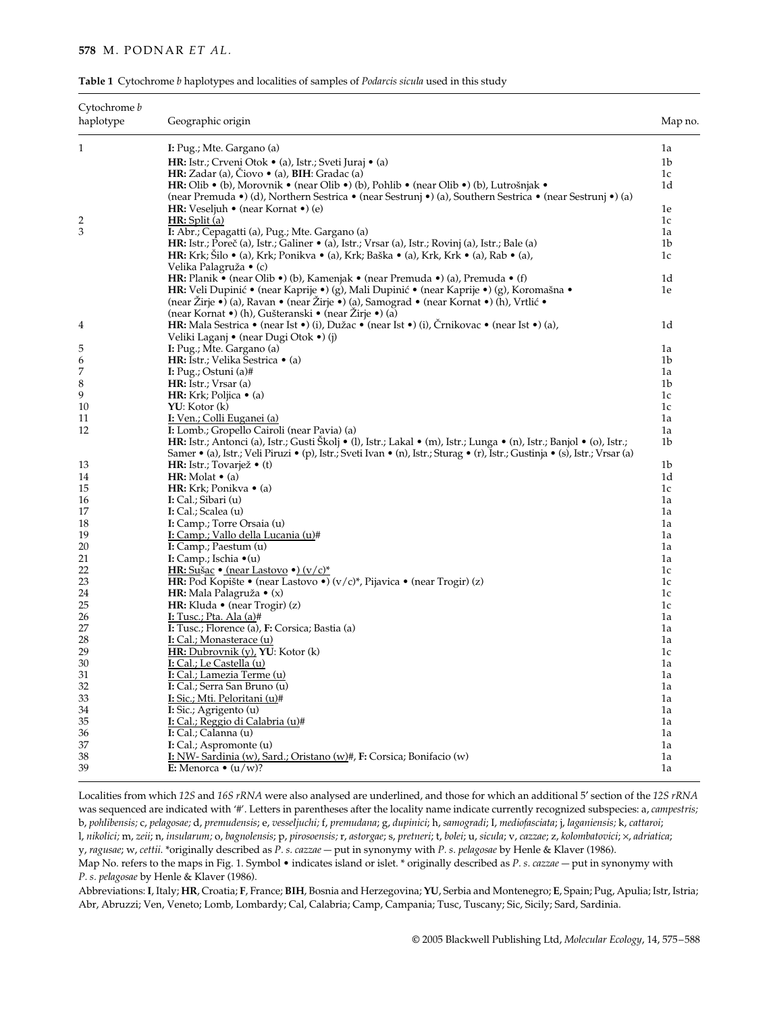### **578** M. PODNAR *ET AL.*

|  | <b>Table 1</b> Cytochrome <i>b</i> haplotypes and localities of samples of <i>Podarcis sicula</i> used in this study |  |
|--|----------------------------------------------------------------------------------------------------------------------|--|
|  |                                                                                                                      |  |

| Cytochrome b   |                                                                                                                              |         |
|----------------|------------------------------------------------------------------------------------------------------------------------------|---------|
| haplotype      | Geographic origin                                                                                                            | Map no. |
| 1              | I: Pug.; Mte. Gargano (a)                                                                                                    | 1a      |
|                | HR: Istr.; Crveni Otok • (a), Istr.; Sveti Juraj • (a)                                                                       | 1b      |
|                | <b>HR:</b> Zadar (a), $Ciovo \bullet (a)$ , <b>BIH</b> : Gradac (a)                                                          | 1c      |
|                | <b>HR:</b> Olib • (b), Morovnik • (near Olib •) (b), Pohlib • (near Olib •) (b), Lutrošnjak •                                | 1d      |
|                | (near Premuda •) (d), Northern Sestrica • (near Sestrunj •) (a), Southern Sestrica • (near Sestrunj •) (a)                   |         |
|                | <b>HR:</b> Veseljuh $\bullet$ (near Kornat $\bullet$ ) (e)                                                                   | 1e      |
| $\overline{c}$ | HR: Split (a)                                                                                                                | 1c      |
| 3              | I: Abr.; Cepagatti (a), Pug.; Mte. Gargano (a)                                                                               | 1a      |
|                | HR: Istr.; Poreč (a), Istr.; Galiner • (a), Istr.; Vrsar (a), Istr.; Rovinj (a), Istr.; Bale (a)                             | 1b      |
|                | <b>HR</b> : Krk; Šilo • (a), Krk; Ponikva • (a), Krk; Baška • (a), Krk, Krk • (a), Rab • (a),                                | 1c      |
|                | Velika Palagruža • (c)                                                                                                       |         |
|                | <b>HR:</b> Planik • (near Olib •) (b), Kamenjak • (near Premuda •) (a), Premuda • (f)                                        | 1d      |
|                | HR: Veli Dupinić • (near Kaprije •) (g), Mali Dupinić • (near Kaprije •) (g), Koromašna •                                    | 1e      |
|                | (near Žirje •) (a), Ravan • (near Žirje •) (a), Samograd • (near Kornat •) (h), Vrtlić •                                     |         |
|                | (near Kornat •) (h), Gušteranski • (near Žirje •) (a)                                                                        |         |
| 4              | <b>HR:</b> Mala Sestrica • (near Ist •) (i), Dužac • (near Ist •) (i), Crnikovac • (near Ist •) (a),                         | 1d      |
|                | Veliki Laganj • (near Dugi Otok •) (j)                                                                                       |         |
| 5              | I: Pug.; Mte. Gargano (a)                                                                                                    | 1a      |
| 6              | HR: Istr.; Velika Sestrica • (a)                                                                                             | 1b      |
| $\overline{7}$ | I: Pug.; Ostuni $(a)$ #                                                                                                      | 1a      |
| 8              | HR: Istr.; Vrsar (a)                                                                                                         | 1b      |
| 9              | HR: Krk; Poljica • (a)                                                                                                       | 1c      |
| 10             | $\mathbf{YU}$ : Kotor (k)                                                                                                    | 1c      |
| 11             | I: Ven.; Colli Euganei (a)                                                                                                   | 1a      |
| 12             | I: Lomb.; Gropello Cairoli (near Pavia) (a)                                                                                  | 1a      |
|                | HR: Istr.; Antonci (a), Istr.; Gusti Školj • (l), Istr.; Lakal • (m), Istr.; Lunga • (n), Istr.; Banjol • (o), Istr.;        | 1b      |
|                | Samer • (a), Istr.; Veli Piruzi • (p), Istr.; Sveti Ivan • (n), Istr.; Sturag • (r), Istr.; Gustinja • (s), Istr.; Vrsar (a) |         |
| 13             | <b>HR</b> : Istr.; Tovarjež $\bullet$ (t)                                                                                    | 1b      |
| 14             | <b>HR:</b> Molat $\bullet$ (a)                                                                                               | 1d      |
| 15             | <b>HR:</b> Krk; Ponikva $\bullet$ (a)                                                                                        | 1c      |
| 16             | I: Cal.; Sibari (u)                                                                                                          | 1a      |
| 17             | I: Cal.; Scalea (u)                                                                                                          | 1a      |
| 18             | I: Camp.; Torre Orsaia (u)                                                                                                   | 1a      |
| 19             | I: Camp.; Vallo della Lucania (u)#                                                                                           | 1a      |
| 20             | I: Camp.; Paestum (u)                                                                                                        | 1a      |
| 21             | I: Camp.; Ischia $\bullet$ (u)                                                                                               | 1a      |
| 22             | <b>HR:</b> Sušac • (near Lastovo •) $(v/c)^*$                                                                                | 1c      |
| 23             | <b>HR:</b> Pod Kopište • (near Lastovo •) $(v/c)^*$ , Pijavica • (near Trogir) (z)                                           | 1c      |
| 24             | <b>HR:</b> Mala Palagruža $\bullet$ (x)                                                                                      | 1c      |
| 25             | <b>HR:</b> Kluda $\bullet$ (near Trogir) (z)                                                                                 | 1c      |
| 26             | I: Tusc.; Pta. Ala $(a)$ #                                                                                                   | 1a      |
| 27             | I: Tusc.; Florence (a), F: Corsica; Bastia (a)                                                                               | 1a      |
| 28             | I: Cal.; Monasterace (u)                                                                                                     | 1a      |
| 29             | HR: Dubrovnik (y), YU: Kotor (k)                                                                                             | 1c      |
| 30             | I: Cal.; Le Castella (u)                                                                                                     | 1a      |
| 31             | I: Cal.; Lamezia Terme (u)                                                                                                   | 1a      |
| 32             | I: Cal.; Serra San Bruno (u)                                                                                                 | 1a      |
| 33             | I: Sic.; Mti. Peloritani (u)#                                                                                                | 1a      |
| 34             | I: Sic.; Agrigento (u)                                                                                                       | 1a      |
| 35             | I: Cal.; Reggio di Calabria (u)#                                                                                             | 1a      |
| 36             | I: Cal.; Calanna (u)                                                                                                         | 1a      |
| 37             | I: Cal.; Aspromonte (u)                                                                                                      | 1a      |
| 38             | I: NW-Sardinia (w), Sard.; Oristano (w)#, F: Corsica; Bonifacio (w)                                                          | 1a      |
| 39             | E: Menorca $\bullet$ (u/w)?                                                                                                  | 1a      |
|                |                                                                                                                              |         |

Localities from which *12S* and *16S rRNA* were also analysed are underlined, and those for which an additional 5′ section of the *12S rRNA* was sequenced are indicated with '#'. Letters in parentheses after the locality name indicate currently recognized subspecies: a, *campestris;* b, *pohlibensis;* c, *pelagosae;* d, *premudensis*; e, *vesseljuchi;* f, *premudana*; g, *dupinici*; h, *samogradi*; I, *mediofasciata*; j, *laganiensis;* k, *cattaroi*; l, nikolici; m, zeii; n, insularum; o, bagnolensis; p, pirosoensis; r, astorgae; s, pretneri; t, bolei; u, sicula; v, cazzae; z, kolombatovici; x, adriatica; y, *ragusae*; w, *cettii*. \*originally described as *P. s. cazzae* — put in synonymy with *P. s. pelagosae* by Henle & Klaver (1986).

Map No. refers to the maps in Fig. 1. Symbol • indicates island or islet. \* originally described as *P. s. cazzae* — put in synonymy with *P. s. pelagosae* by Henle & Klaver (1986).

Abbreviations: **I**, Italy; **HR**, Croatia; **F**, France; **BIH**, Bosnia and Herzegovina; **YU**, Serbia and Montenegro; **E**, Spain; Pug, Apulia; Istr, Istria; Abr, Abruzzi; Ven, Veneto; Lomb, Lombardy; Cal, Calabria; Camp, Campania; Tusc, Tuscany; Sic, Sicily; Sard, Sardinia.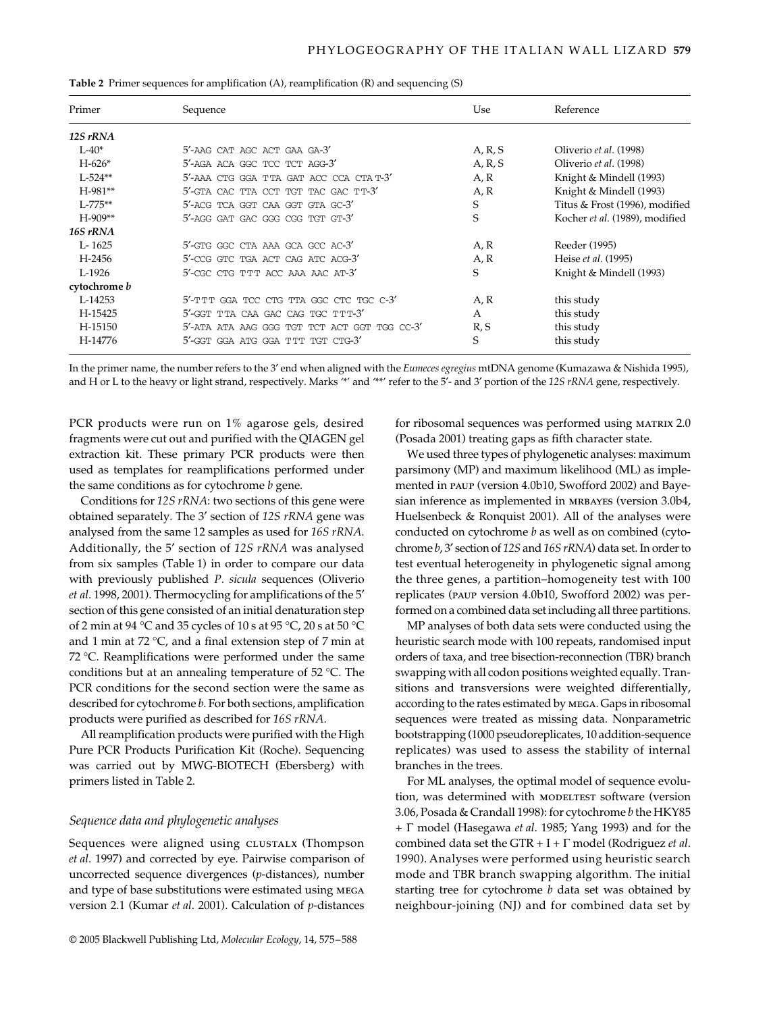| Primer       | Sequence                                     | Use          | Reference                      |  |  |
|--------------|----------------------------------------------|--------------|--------------------------------|--|--|
| $12S$ rRNA   |                                              |              |                                |  |  |
| $L - 40*$    | 5'-AAG CAT AGC ACT GAA GA-3'                 | A, R, S      | Oliverio et al. (1998)         |  |  |
| $H - 626*$   | 5'-AGA ACA GGC TCC TCT AGG-3'                | A, R, S      | Oliverio et al. (1998)         |  |  |
| $L-524**$    | 5'-AAA CTG GGA TTA GAT ACC CCA CTA T-3'      | A, R         | Knight & Mindell (1993)        |  |  |
| $H-981**$    | 5'-GTA CAC TTA CCT TGT TAC GAC TT-3'         | A, R         | Knight & Mindell (1993)        |  |  |
| $L-775**$    | 5'-ACG TCA GGT CAA GGT GTA GC-3'             | S            | Titus & Frost (1996), modified |  |  |
| $H-909**$    | 5'-AGG GAT GAC GGG CGG TGT GT-3'             | S            | Kocher et al. (1989), modified |  |  |
| 16S rRNA     |                                              |              |                                |  |  |
| L-1625       | 5'-GTG GGC CTA AAA GCA GCC AC-3'             | A, R         | Reeder (1995)                  |  |  |
| H-2456       | 5'-CCG GTC TGA ACT CAG ATC ACG-3'            | A, R         | Heise et al. (1995)            |  |  |
| L-1926       | 5'-CGC CTG TTT ACC AAA AAC AT-3'             | S            | Knight & Mindell (1993)        |  |  |
| cytochrome b |                                              |              |                                |  |  |
| L-14253      | 5'-TTT GGA TCC CTG TTA GGC CTC TGC C-3'      | A, R         | this study                     |  |  |
| H-15425      | 5'-GGT TTA CAA GAC CAG TGC TTT-3'            | $\mathsf{A}$ | this study                     |  |  |
| H-15150      | 5'-ATA ATA AAG GGG TGT TCT ACT GGT TGG CC-3' | R, S         | this study                     |  |  |
| H-14776      | 5'-GGT GGA ATG GGA TTT TGT CTG-3'            | S            | this study                     |  |  |

**Table 2** Primer sequences for amplification (A), reamplification (R) and sequencing (S)

In the primer name, the number refers to the 3′ end when aligned with the *Eumeces egregius* mtDNA genome (Kumazawa & Nishida 1995), and H or L to the heavy or light strand, respectively. Marks '\*' and '\*\*' refer to the 5′- and 3′ portion of the *12S rRNA* gene, respectively.

PCR products were run on 1% agarose gels, desired fragments were cut out and purified with the QIAGEN gel extraction kit. These primary PCR products were then used as templates for reamplifications performed under the same conditions as for cytochrome *b* gene.

Conditions for *12S rRNA*: two sections of this gene were obtained separately. The 3′ section of *12S rRNA* gene was analysed from the same 12 samples as used for *16S rRNA*. Additionally, the 5′ section of *12S rRNA* was analysed from six samples (Table 1) in order to compare our data with previously published *P. sicula* sequences (Oliverio *et al*. 1998, 2001). Thermocycling for amplifications of the 5′ section of this gene consisted of an initial denaturation step of 2 min at 94 °C and 35 cycles of 10 s at 95 °C, 20 s at 50 °C and 1 min at 72 °C, and a final extension step of 7 min at 72 °C. Reamplifications were performed under the same conditions but at an annealing temperature of 52 °C. The PCR conditions for the second section were the same as described for cytochrome *b*. For both sections, amplification products were purified as described for *16S rRNA*.

All reamplification products were purified with the High Pure PCR Products Purification Kit (Roche). Sequencing was carried out by MWG-BIOTECH (Ebersberg) with primers listed in Table 2.

#### *Sequence data and phylogenetic analyses*

Sequences were aligned using CLUSTALX (Thompson *et al*. 1997) and corrected by eye. Pairwise comparison of uncorrected sequence divergences (*p*-distances), number and type of base substitutions were estimated using mega version 2.1 (Kumar *et al*. 2001). Calculation of *p*-distances for ribosomal sequences was performed using MATRIX 2.0 (Posada 2001) treating gaps as fifth character state.

We used three types of phylogenetic analyses: maximum parsimony (MP) and maximum likelihood (ML) as implemented in paup (version 4.0b10, Swofford 2002) and Bayesian inference as implemented in MRBAYES (version 3.0b4, Huelsenbeck & Ronquist 2001). All of the analyses were conducted on cytochrome *b* as well as on combined (cytochrome *b*, 3′ section of *12S* and *16S rRNA*) data set. In order to test eventual heterogeneity in phylogenetic signal among the three genes, a partition–homogeneity test with 100 replicates (paup version 4.0b10, Swofford 2002) was performed on a combined data set including all three partitions.

MP analyses of both data sets were conducted using the heuristic search mode with 100 repeats, randomised input orders of taxa, and tree bisection-reconnection (TBR) branch swapping with all codon positions weighted equally. Transitions and transversions were weighted differentially, according to the rates estimated by mega. Gaps in ribosomal sequences were treated as missing data. Nonparametric bootstrapping (1000 pseudoreplicates, 10 addition-sequence replicates) was used to assess the stability of internal branches in the trees.

For ML analyses, the optimal model of sequence evolution, was determined with MODELTEST software (version 3.06, Posada & Crandall 1998): for cytochrome *b* the HKY85 + Γ model (Hasegawa *et al*. 1985; Yang 1993) and for the combined data set the GTR + I + Γ model (Rodriguez *et al*. 1990). Analyses were performed using heuristic search mode and TBR branch swapping algorithm. The initial starting tree for cytochrome *b* data set was obtained by neighbour-joining (NJ) and for combined data set by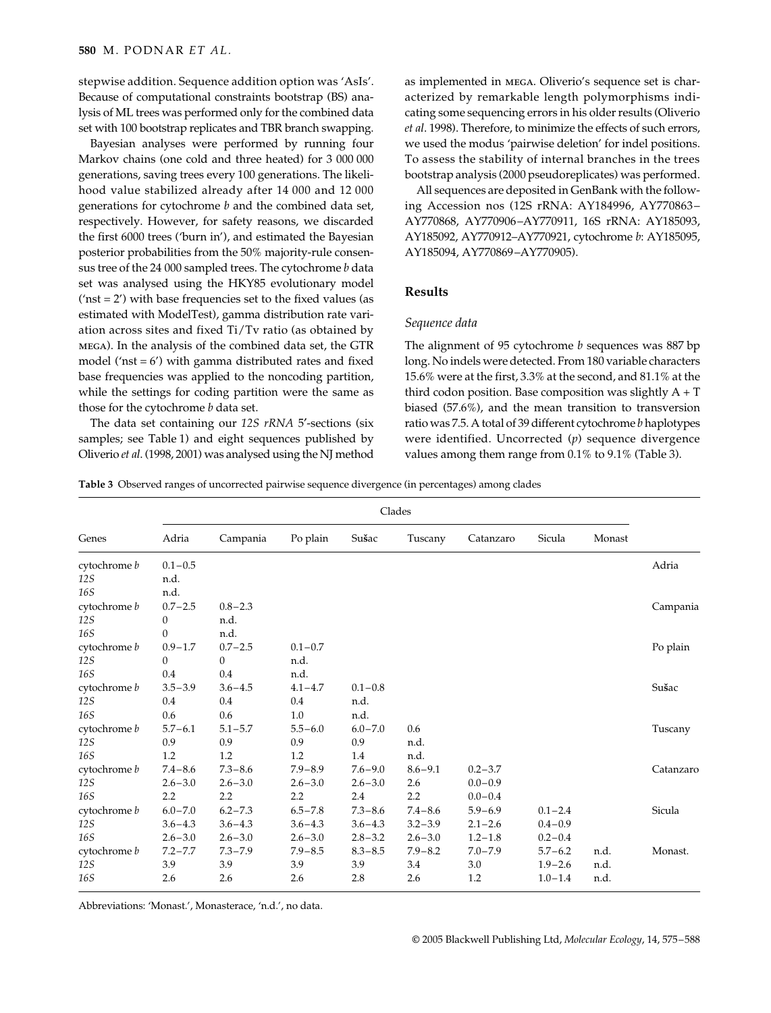stepwise addition. Sequence addition option was 'AsIs'. Because of computational constraints bootstrap (BS) analysis of ML trees was performed only for the combined data set with 100 bootstrap replicates and TBR branch swapping.

Bayesian analyses were performed by running four Markov chains (one cold and three heated) for 3 000 000 generations, saving trees every 100 generations. The likelihood value stabilized already after 14 000 and 12 000 generations for cytochrome *b* and the combined data set, respectively. However, for safety reasons, we discarded the first 6000 trees ('burn in'), and estimated the Bayesian posterior probabilities from the 50% majority-rule consensus tree of the 24 000 sampled trees. The cytochrome *b* data set was analysed using the HKY85 evolutionary model  $('nst = 2')$  with base frequencies set to the fixed values (as estimated with ModelTest), gamma distribution rate variation across sites and fixed Ti/Tv ratio (as obtained by mega). In the analysis of the combined data set, the GTR model ('nst  $= 6'$ ) with gamma distributed rates and fixed base frequencies was applied to the noncoding partition, while the settings for coding partition were the same as those for the cytochrome *b* data set.

The data set containing our *12S rRNA* 5′-sections (six samples; see Table 1) and eight sequences published by Oliverio *et al*. (1998, 2001) was analysed using the NJ method as implemented in mega. Oliverio's sequence set is characterized by remarkable length polymorphisms indicating some sequencing errors in his older results (Oliverio *et al*. 1998). Therefore, to minimize the effects of such errors, we used the modus 'pairwise deletion' for indel positions. To assess the stability of internal branches in the trees bootstrap analysis (2000 pseudoreplicates) was performed.

All sequences are deposited in GenBank with the following Accession nos (12S rRNA: AY184996, AY770863– AY770868, AY770906–AY770911, 16S rRNA: AY185093, AY185092, AY770912–AY770921, cytochrome *b*: AY185095, AY185094, AY770869–AY770905).

# **Results**

#### *Sequence data*

The alignment of 95 cytochrome *b* sequences was 887 bp long. No indels were detected. From 180 variable characters 15.6% were at the first, 3.3% at the second, and 81.1% at the third codon position. Base composition was slightly  $A + T$ biased (57.6%), and the mean transition to transversion ratio was 7.5. A total of 39 different cytochrome *b* haplotypes were identified. Uncorrected (*p*) sequence divergence values among them range from 0.1% to 9.1% (Table 3).

**Table 3** Observed ranges of uncorrected pairwise sequence divergence (in percentages) among clades

|              |                |             |             |             | Clades      |             |             |        |           |
|--------------|----------------|-------------|-------------|-------------|-------------|-------------|-------------|--------|-----------|
| Genes        | Adria          | Campania    | Po plain    | Sušac       | Tuscany     | Catanzaro   | Sicula      | Monast |           |
| cytochrome b | $0.1 - 0.5$    |             |             |             |             |             |             |        | Adria     |
| <b>12S</b>   | n.d.           |             |             |             |             |             |             |        |           |
| <b>16S</b>   | n.d.           |             |             |             |             |             |             |        |           |
| cytochrome b | $0.7 - 2.5$    | $0.8 - 2.3$ |             |             |             |             |             |        | Campania  |
| <b>12S</b>   | 0              | n.d.        |             |             |             |             |             |        |           |
| <b>16S</b>   | $\theta$       | n.d.        |             |             |             |             |             |        |           |
| cytochrome b | $0.9 - 1.7$    | $0.7 - 2.5$ | $0.1 - 0.7$ |             |             |             |             |        | Po plain  |
| 12S          | $\overline{0}$ | $\theta$    | n.d.        |             |             |             |             |        |           |
| <b>16S</b>   | 0.4            | 0.4         | n.d.        |             |             |             |             |        |           |
| cytochrome b | $3.5 - 3.9$    | $3.6 - 4.5$ | $4.1 - 4.7$ | $0.1 - 0.8$ |             |             |             |        | Sušac     |
| <b>12S</b>   | 0.4            | 0.4         | 0.4         | n.d.        |             |             |             |        |           |
| <b>16S</b>   | 0.6            | 0.6         | 1.0         | n.d.        |             |             |             |        |           |
| cytochrome b | $5.7 - 6.1$    | $5.1 - 5.7$ | $5.5 - 6.0$ | $6.0 - 7.0$ | 0.6         |             |             |        | Tuscany   |
| <b>12S</b>   | 0.9            | 0.9         | 0.9         | 0.9         | n.d.        |             |             |        |           |
| 16S          | 1.2            | 1.2         | 1.2         | 1.4         | n.d.        |             |             |        |           |
| cytochrome b | $7.4 - 8.6$    | $7.3 - 8.6$ | $7.9 - 8.9$ | $7.6 - 9.0$ | $8.6 - 9.1$ | $0.2 - 3.7$ |             |        | Catanzaro |
| <b>12S</b>   | $2.6 - 3.0$    | $2.6 - 3.0$ | $2.6 - 3.0$ | $2.6 - 3.0$ | 2.6         | $0.0 - 0.9$ |             |        |           |
| 16S          | 2.2            | 2.2         | 2.2         | 2.4         | 2.2         | $0.0 - 0.4$ |             |        |           |
| cytochrome b | $6.0 - 7.0$    | $6.2 - 7.3$ | $6.5 - 7.8$ | $7.3 - 8.6$ | $7.4 - 8.6$ | $5.9 - 6.9$ | $0.1 - 2.4$ |        | Sicula    |
| <b>12S</b>   | $3.6 - 4.3$    | $3.6 - 4.3$ | $3.6 - 4.3$ | $3.6 - 4.3$ | $3.2 - 3.9$ | $2.1 - 2.6$ | $0.4 - 0.9$ |        |           |
| 16S          | $2.6 - 3.0$    | $2.6 - 3.0$ | $2.6 - 3.0$ | $2.8 - 3.2$ | $2.6 - 3.0$ | $1.2 - 1.8$ | $0.2 - 0.4$ |        |           |
| cytochrome b | $7.2 - 7.7$    | $7.3 - 7.9$ | $7.9 - 8.5$ | $8.3 - 8.5$ | $7.9 - 8.2$ | $7.0 - 7.9$ | $5.7 - 6.2$ | n.d.   | Monast.   |
| 12S          | 3.9            | 3.9         | 3.9         | 3.9         | 3.4         | 3.0         | $1.9 - 2.6$ | n.d.   |           |
| <b>16S</b>   | 2.6            | 2.6         | 2.6         | 2.8         | 2.6         | 1.2         | $1.0 - 1.4$ | n.d.   |           |

Abbreviations: 'Monast.', Monasterace, 'n.d.', no data.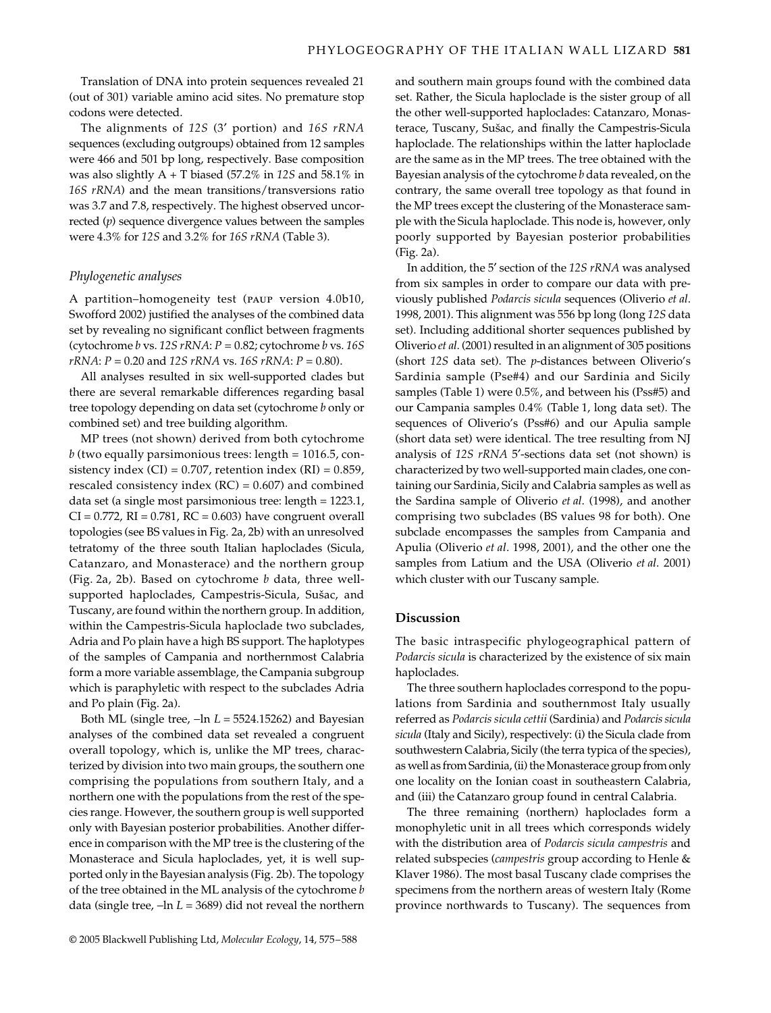Translation of DNA into protein sequences revealed 21 (out of 301) variable amino acid sites. No premature stop codons were detected.

The alignments of *12S* (3′ portion) and *16S rRNA* sequences (excluding outgroups) obtained from 12 samples were 466 and 501 bp long, respectively. Base composition was also slightly A + T biased (57.2% in *12S* and 58.1% in *16S rRNA*) and the mean transitions/transversions ratio was 3.7 and 7.8, respectively. The highest observed uncorrected (*p*) sequence divergence values between the samples were 4.3% for *12S* and 3.2% for *16S rRNA* (Table 3).

## *Phylogenetic analyses*

A partition–homogeneity test (paup version 4.0b10, Swofford 2002) justified the analyses of the combined data set by revealing no significant conflict between fragments (cytochrome *b* vs. *12S rRNA*: *P* = 0.82; cytochrome *b* vs. *16S rRNA*: *P* = 0.20 and *12S rRNA* vs. *16S rRNA*: *P* = 0.80).

All analyses resulted in six well-supported clades but there are several remarkable differences regarding basal tree topology depending on data set (cytochrome *b* only or combined set) and tree building algorithm.

MP trees (not shown) derived from both cytochrome  *(two equally parsimonious trees: length = 1016.5, con*sistency index  $(CI) = 0.707$ , retention index  $(RI) = 0.859$ , rescaled consistency index  $(RC) = 0.607$  and combined data set (a single most parsimonious tree: length = 1223.1,  $CI = 0.772$ ,  $RI = 0.781$ ,  $RC = 0.603$ ) have congruent overall topologies (see BS values in Fig. 2a, 2b) with an unresolved tetratomy of the three south Italian haploclades (Sicula, Catanzaro, and Monasterace) and the northern group (Fig. 2a, 2b). Based on cytochrome *b* data, three wellsupported haploclades, Campestris-Sicula, Su*z*ac, and Tuscany, are found within the northern group. In addition, within the Campestris-Sicula haploclade two subclades, Adria and Po plain have a high BS support. The haplotypes of the samples of Campania and northernmost Calabria form a more variable assemblage, the Campania subgroup which is paraphyletic with respect to the subclades Adria and Po plain (Fig. 2a).

Both ML (single tree, −ln *L* = 5524.15262) and Bayesian analyses of the combined data set revealed a congruent overall topology, which is, unlike the MP trees, characterized by division into two main groups, the southern one comprising the populations from southern Italy, and a northern one with the populations from the rest of the species range. However, the southern group is well supported only with Bayesian posterior probabilities. Another difference in comparison with the MP tree is the clustering of the Monasterace and Sicula haploclades, yet, it is well supported only in the Bayesian analysis (Fig. 2b). The topology of the tree obtained in the ML analysis of the cytochrome *b* data (single tree, −ln *L* = 3689) did not reveal the northern and southern main groups found with the combined data set. Rather, the Sicula haploclade is the sister group of all the other well-supported haploclades: Catanzaro, Monasterace, Tuscany, Su*z*ac, and finally the Campestris-Sicula haploclade. The relationships within the latter haploclade are the same as in the MP trees. The tree obtained with the Bayesian analysis of the cytochrome *b* data revealed, on the contrary, the same overall tree topology as that found in the MP trees except the clustering of the Monasterace sample with the Sicula haploclade. This node is, however, only poorly supported by Bayesian posterior probabilities (Fig. 2a).

In addition, the 5′ section of the *12S rRNA* was analysed from six samples in order to compare our data with previously published *Podarcis sicula* sequences (Oliverio *et al*. 1998, 2001). This alignment was 556 bp long (long *12S* data set). Including additional shorter sequences published by Oliverio *et al*. (2001) resulted in an alignment of 305 positions (short *12S* data set). The *p*-distances between Oliverio's Sardinia sample (Pse#4) and our Sardinia and Sicily samples (Table 1) were 0.5%, and between his (Pss#5) and our Campania samples 0.4% (Table 1, long data set). The sequences of Oliverio's (Pss#6) and our Apulia sample (short data set) were identical. The tree resulting from NJ analysis of *12S rRNA* 5′-sections data set (not shown) is characterized by two well-supported main clades, one containing our Sardinia, Sicily and Calabria samples as well as the Sardina sample of Oliverio *et al*. (1998), and another comprising two subclades (BS values 98 for both). One subclade encompasses the samples from Campania and Apulia (Oliverio *et al*. 1998, 2001), and the other one the samples from Latium and the USA (Oliverio *et al*. 2001) which cluster with our Tuscany sample.

### **Discussion**

The basic intraspecific phylogeographical pattern of *Podarcis sicula* is characterized by the existence of six main haploclades.

The three southern haploclades correspond to the populations from Sardinia and southernmost Italy usually referred as *Podarcis sicula cettii* (Sardinia) and *Podarcis sicula sicula* (Italy and Sicily), respectively: (i) the Sicula clade from southwestern Calabria, Sicily (the terra typica of the species), as well as from Sardinia, (ii) the Monasterace group from only one locality on the Ionian coast in southeastern Calabria, and (iii) the Catanzaro group found in central Calabria.

The three remaining (northern) haploclades form a monophyletic unit in all trees which corresponds widely with the distribution area of *Podarcis sicula campestris* and related subspecies (*campestris* group according to Henle & Klaver 1986). The most basal Tuscany clade comprises the specimens from the northern areas of western Italy (Rome province northwards to Tuscany). The sequences from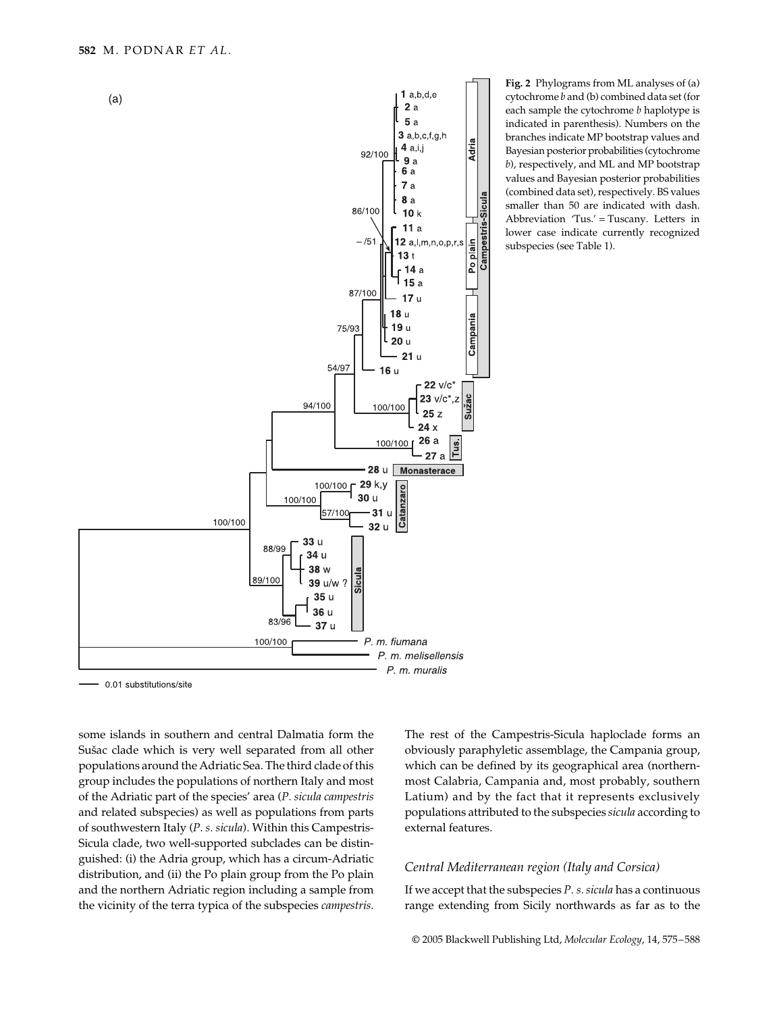

**Fig. 2** Phylograms from ML analyses of (a) cytochrome *b* and (b) combined data set (for each sample the cytochrome *b* haplotype is indicated in parenthesis). Numbers on the branches indicate MP bootstrap values and Bayesian posterior probabilities (cytochrome *b*), respectively, and ML and MP bootstrap values and Bayesian posterior probabilities (combined data set), respectively. BS values smaller than 50 are indicated with dash. Abbreviation 'Tus.' = Tuscany. Letters in lower case indicate currently recognized subspecies (see Table 1).

0.01 substitutions/site

some islands in southern and central Dalmatia form the Su*z*ac clade which is very well separated from all other populations around the Adriatic Sea. The third clade of this group includes the populations of northern Italy and most of the Adriatic part of the species' area (*P. sicula campestris* and related subspecies) as well as populations from parts of southwestern Italy (*P. s. sicula*). Within this Campestris-Sicula clade, two well-supported subclades can be distinguished: (i) the Adria group, which has a circum-Adriatic distribution, and (ii) the Po plain group from the Po plain and the northern Adriatic region including a sample from the vicinity of the terra typica of the subspecies *campestris*.

The rest of the Campestris-Sicula haploclade forms an obviously paraphyletic assemblage, the Campania group, which can be defined by its geographical area (northernmost Calabria, Campania and, most probably, southern Latium) and by the fact that it represents exclusively populations attributed to the subspecies *sicula* according to external features.

#### *Central Mediterranean region (Italy and Corsica)*

If we accept that the subspecies *P. s. sicula* has a continuous range extending from Sicily northwards as far as to the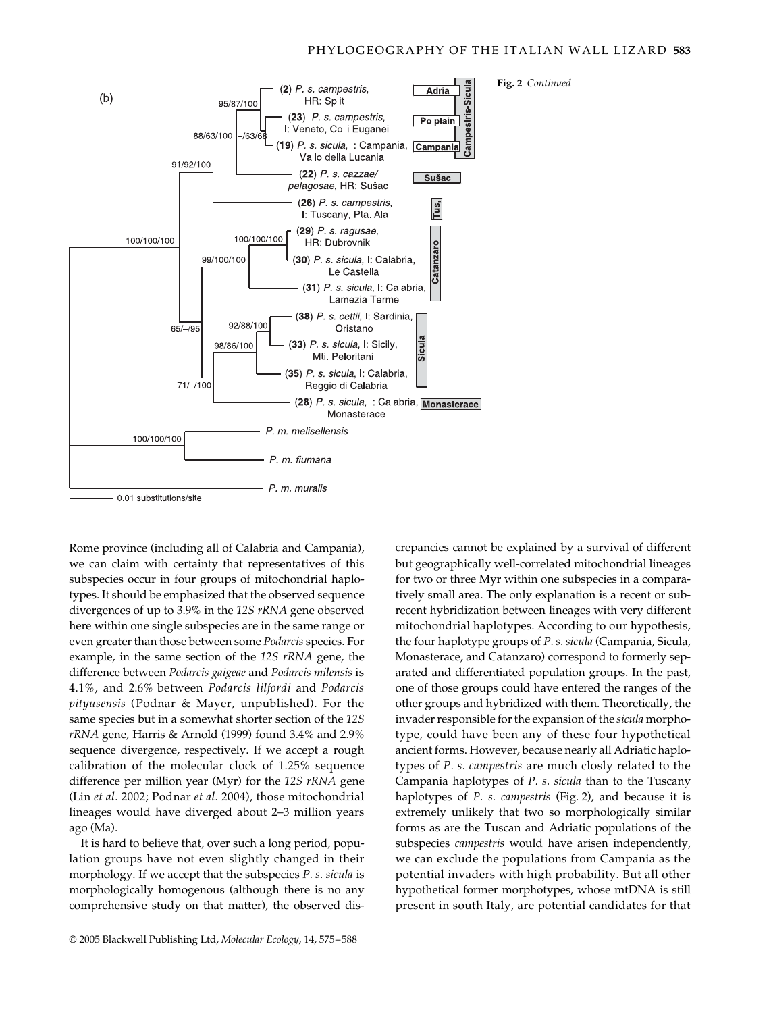

Rome province (including all of Calabria and Campania)*,* we can claim with certainty that representatives of this subspecies occur in four groups of mitochondrial haplotypes. It should be emphasized that the observed sequence divergences of up to 3.9% in the *12S rRNA* gene observed here within one single subspecies are in the same range or even greater than those between some *Podarcis* species. For example, in the same section of the *12S rRNA* gene, the difference between *Podarcis gaigeae* and *Podarcis milensis* is 4.1%, and 2.6% between *Podarcis lilfordi* and *Podarcis pityusensis* (Podnar & Mayer, unpublished). For the same species but in a somewhat shorter section of the *12S rRNA* gene, Harris & Arnold (1999) found 3.4% and 2.9% sequence divergence, respectively. If we accept a rough calibration of the molecular clock of 1.25% sequence difference per million year (Myr) for the *12S rRNA* gene (Lin *et al*. 2002; Podnar *et al*. 2004), those mitochondrial lineages would have diverged about 2–3 million years ago (Ma).

It is hard to believe that, over such a long period, population groups have not even slightly changed in their morphology. If we accept that the subspecies *P. s. sicula* is morphologically homogenous (although there is no any comprehensive study on that matter), the observed discrepancies cannot be explained by a survival of different but geographically well-correlated mitochondrial lineages for two or three Myr within one subspecies in a comparatively small area. The only explanation is a recent or subrecent hybridization between lineages with very different mitochondrial haplotypes. According to our hypothesis, the four haplotype groups of *P. s. sicula* (Campania, Sicula, Monasterace, and Catanzaro) correspond to formerly separated and differentiated population groups. In the past, one of those groups could have entered the ranges of the other groups and hybridized with them. Theoretically, the invader responsible for the expansion of the *sicula* morphotype, could have been any of these four hypothetical ancient forms. However, because nearly all Adriatic haplotypes of *P. s. campestris* are much closly related to the Campania haplotypes of *P. s. sicula* than to the Tuscany haplotypes of *P. s. campestris* (Fig. 2), and because it is extremely unlikely that two so morphologically similar forms as are the Tuscan and Adriatic populations of the subspecies *campestris* would have arisen independently, we can exclude the populations from Campania as the potential invaders with high probability. But all other hypothetical former morphotypes, whose mtDNA is still present in south Italy, are potential candidates for that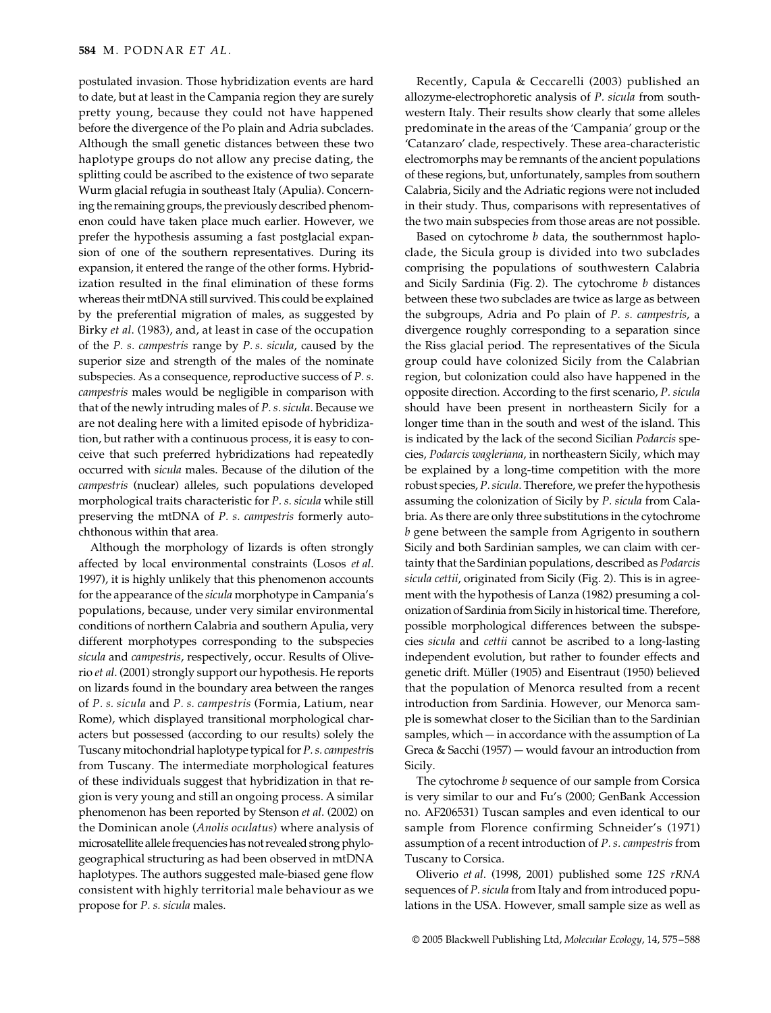postulated invasion. Those hybridization events are hard to date, but at least in the Campania region they are surely pretty young, because they could not have happened before the divergence of the Po plain and Adria subclades. Although the small genetic distances between these two haplotype groups do not allow any precise dating, the splitting could be ascribed to the existence of two separate Wurm glacial refugia in southeast Italy (Apulia). Concerning the remaining groups, the previously described phenomenon could have taken place much earlier. However, we prefer the hypothesis assuming a fast postglacial expansion of one of the southern representatives. During its expansion, it entered the range of the other forms. Hybridization resulted in the final elimination of these forms whereas their mtDNA still survived. This could be explained by the preferential migration of males, as suggested by Birky *et al*. (1983), and, at least in case of the occupation of the *P. s. campestris* range by *P. s. sicula*, caused by the superior size and strength of the males of the nominate subspecies. As a consequence, reproductive success of *P. s. campestris* males would be negligible in comparison with that of the newly intruding males of *P.s. sicula*. Because we are not dealing here with a limited episode of hybridization, but rather with a continuous process, it is easy to conceive that such preferred hybridizations had repeatedly occurred with *sicula* males. Because of the dilution of the *campestris* (nuclear) alleles, such populations developed morphological traits characteristic for *P. s. sicula* while still preserving the mtDNA of *P. s. campestris* formerly autochthonous within that area*.*

Although the morphology of lizards is often strongly affected by local environmental constraints (Losos *et al*. 1997), it is highly unlikely that this phenomenon accounts for the appearance of the *sicula* morphotype in Campania's populations, because, under very similar environmental conditions of northern Calabria and southern Apulia, very different morphotypes corresponding to the subspecies *sicula* and *campestris*, respectively, occur. Results of Oliverio *et al*. (2001) strongly support our hypothesis. He reports on lizards found in the boundary area between the ranges of *P. s. sicula* and *P. s. campestris* (Formia, Latium, near Rome), which displayed transitional morphological characters but possessed (according to our results) solely the Tuscany mitochondrial haplotype typical for *P.s. campestri*s from Tuscany. The intermediate morphological features of these individuals suggest that hybridization in that region is very young and still an ongoing process. A similar phenomenon has been reported by Stenson *et al*. (2002) on the Dominican anole (*Anolis oculatus*) where analysis of microsatellite allele frequencies has not revealed strong phylogeographical structuring as had been observed in mtDNA haplotypes. The authors suggested male-biased gene flow consistent with highly territorial male behaviour as we propose for *P. s. sicula* males.

Recently, Capula & Ceccarelli (2003) published an allozyme-electrophoretic analysis of *P. sicula* from southwestern Italy. Their results show clearly that some alleles predominate in the areas of the 'Campania' group or the 'Catanzaro' clade, respectively. These area-characteristic electromorphs may be remnants of the ancient populations of these regions, but, unfortunately, samples from southern Calabria, Sicily and the Adriatic regions were not included in their study. Thus, comparisons with representatives of the two main subspecies from those areas are not possible.

Based on cytochrome *b* data, the southernmost haploclade, the Sicula group is divided into two subclades comprising the populations of southwestern Calabria and Sicily Sardinia (Fig. 2). The cytochrome *b* distances between these two subclades are twice as large as between the subgroups, Adria and Po plain of *P. s. campestris*, a divergence roughly corresponding to a separation since the Riss glacial period. The representatives of the Sicula group could have colonized Sicily from the Calabrian region, but colonization could also have happened in the opposite direction. According to the first scenario, *P. sicula* should have been present in northeastern Sicily for a longer time than in the south and west of the island. This is indicated by the lack of the second Sicilian *Podarcis* species, *Podarcis wagleriana*, in northeastern Sicily, which may be explained by a long-time competition with the more robust species, *P. sicula*. Therefore, we prefer the hypothesis assuming the colonization of Sicily by *P. sicula* from Calabria. As there are only three substitutions in the cytochrome *b* gene between the sample from Agrigento in southern Sicily and both Sardinian samples, we can claim with certainty that the Sardinian populations, described as *Podarcis sicula cettii*, originated from Sicily (Fig. 2). This is in agreement with the hypothesis of Lanza (1982) presuming a colonization of Sardinia from Sicily in historical time. Therefore, possible morphological differences between the subspecies *sicula* and *cettii* cannot be ascribed to a long-lasting independent evolution, but rather to founder effects and genetic drift. Müller (1905) and Eisentraut (1950) believed that the population of Menorca resulted from a recent introduction from Sardinia. However, our Menorca sample is somewhat closer to the Sicilian than to the Sardinian samples, which — in accordance with the assumption of La Greca & Sacchi (1957) — would favour an introduction from Sicily.

The cytochrome *b* sequence of our sample from Corsica is very similar to our and Fu's (2000; GenBank Accession no. AF206531) Tuscan samples and even identical to our sample from Florence confirming Schneider's (1971) assumption of a recent introduction of *P. s. campestris* from Tuscany to Corsica.

Oliverio *et al*. (1998, 2001) published some *12S rRNA* sequences of *P. sicula* from Italy and from introduced populations in the USA. However, small sample size as well as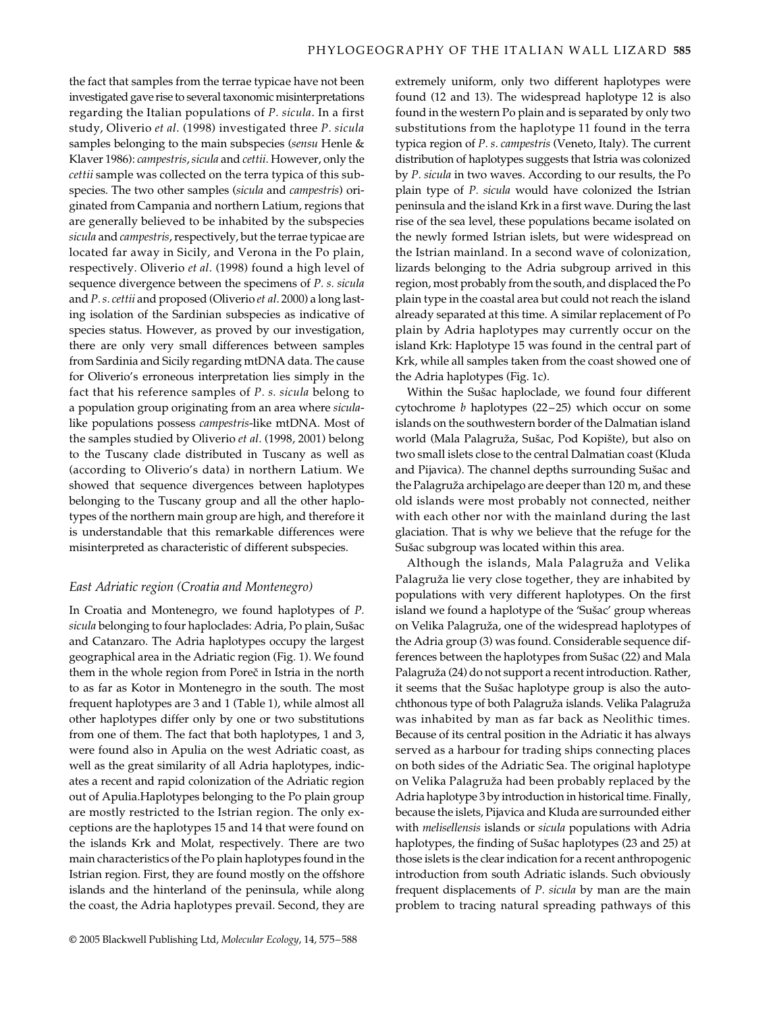the fact that samples from the terrae typicae have not been investigated gave rise to several taxonomic misinterpretations regarding the Italian populations of *P. sicula*. In a first study, Oliverio *et al*. (1998) investigated three *P. sicula* samples belonging to the main subspecies (*sensu* Henle & Klaver 1986): *campestris*, *sicula* and *cettii*. However, only the *cettii* sample was collected on the terra typica of this subspecies. The two other samples (*sicula* and *campestris*) originated from Campania and northern Latium, regions that are generally believed to be inhabited by the subspecies *sicula* and *campestris*, respectively, but the terrae typicae are located far away in Sicily, and Verona in the Po plain, respectively. Oliverio *et al*. (1998) found a high level of sequence divergence between the specimens of *P. s. sicula* and *P.s. cettii* and proposed (Oliverio *et al*. 2000) a long lasting isolation of the Sardinian subspecies as indicative of species status. However, as proved by our investigation, there are only very small differences between samples from Sardinia and Sicily regarding mtDNA data. The cause for Oliverio's erroneous interpretation lies simply in the fact that his reference samples of *P. s. sicula* belong to a population group originating from an area where *sicula*like populations possess *campestris*-like mtDNA. Most of the samples studied by Oliverio *et al*. (1998, 2001) belong to the Tuscany clade distributed in Tuscany as well as (according to Oliverio's data) in northern Latium. We showed that sequence divergences between haplotypes belonging to the Tuscany group and all the other haplotypes of the northern main group are high, and therefore it is understandable that this remarkable differences were misinterpreted as characteristic of different subspecies.

#### *East Adriatic region (Croatia and Montenegro)*

In Croatia and Montenegro, we found haplotypes of *P. sicula* belonging to four haploclades: Adria, Po plain, Su*z*ac and Catanzaro. The Adria haplotypes occupy the largest geographical area in the Adriatic region (Fig. 1). We found them in the whole region from Poreč in Istria in the north to as far as Kotor in Montenegro in the south. The most frequent haplotypes are 3 and 1 (Table 1), while almost all other haplotypes differ only by one or two substitutions from one of them. The fact that both haplotypes, 1 and 3, were found also in Apulia on the west Adriatic coast, as well as the great similarity of all Adria haplotypes, indicates a recent and rapid colonization of the Adriatic region out of Apulia.Haplotypes belonging to the Po plain group are mostly restricted to the Istrian region. The only exceptions are the haplotypes 15 and 14 that were found on the islands Krk and Molat, respectively. There are two main characteristics of the Po plain haplotypes found in the Istrian region. First, they are found mostly on the offshore islands and the hinterland of the peninsula, while along the coast, the Adria haplotypes prevail. Second, they are extremely uniform, only two different haplotypes were found (12 and 13). The widespread haplotype 12 is also found in the western Po plain and is separated by only two substitutions from the haplotype 11 found in the terra typica region of *P. s. campestris* (Veneto, Italy). The current distribution of haplotypes suggests that Istria was colonized by *P. sicula* in two waves. According to our results, the Po plain type of *P. sicula* would have colonized the Istrian peninsula and the island Krk in a first wave. During the last rise of the sea level, these populations became isolated on the newly formed Istrian islets, but were widespread on the Istrian mainland. In a second wave of colonization, lizards belonging to the Adria subgroup arrived in this region, most probably from the south, and displaced the Po plain type in the coastal area but could not reach the island already separated at this time. A similar replacement of Po plain by Adria haplotypes may currently occur on the island Krk: Haplotype 15 was found in the central part of Krk, while all samples taken from the coast showed one of the Adria haplotypes (Fig. 1c).

Within the Su*z*ac haploclade, we found four different cytochrome *b* haplotypes (22–25) which occur on some islands on the southwestern border of the Dalmatian island world (Mala Palagru*6*a, Su*z*ac, Pod Kopi*z*te), but also on two small islets close to the central Dalmatian coast (Kluda and Pijavica). The channel depths surrounding Su*z*ac and the Palagruža archipelago are deeper than 120 m, and these old islands were most probably not connected, neither with each other nor with the mainland during the last glaciation. That is why we believe that the refuge for the Su*z*ac subgroup was located within this area.

Although the islands, Mala Palagruža and Velika Palagruža lie very close together, they are inhabited by populations with very different haplotypes. On the first island we found a haplotype of the 'Su*z*ac' group whereas on Velika Palagruža, one of the widespread haplotypes of the Adria group (3) was found. Considerable sequence differences between the haplotypes from Su*z*ac (22) and Mala Palagruža (24) do not support a recent introduction. Rather, it seems that the Su*z*ac haplotype group is also the autochthonous type of both Palagruža islands. Velika Palagruža was inhabited by man as far back as Neolithic times. Because of its central position in the Adriatic it has always served as a harbour for trading ships connecting places on both sides of the Adriatic Sea. The original haplotype on Velika Palagruža had been probably replaced by the Adria haplotype 3 by introduction in historical time. Finally, because the islets, Pijavica and Kluda are surrounded either with *melisellensis* islands or *sicula* populations with Adria haplotypes, the finding of Su*z*ac haplotypes (23 and 25) at those islets is the clear indication for a recent anthropogenic introduction from south Adriatic islands. Such obviously frequent displacements of *P. sicula* by man are the main problem to tracing natural spreading pathways of this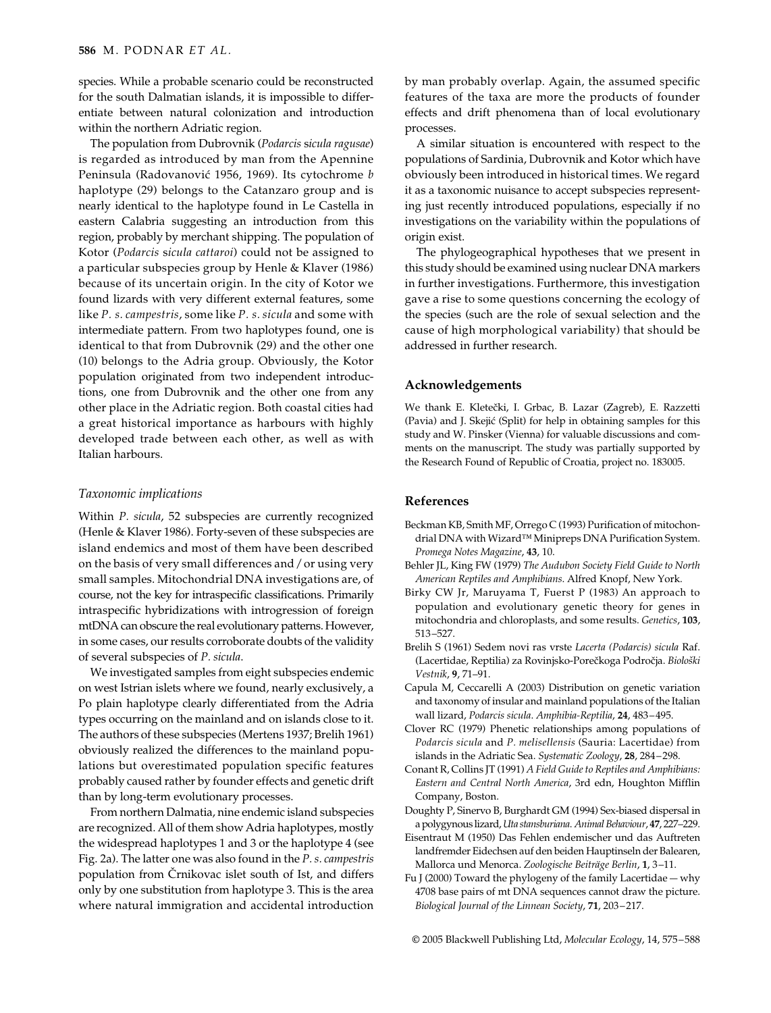species. While a probable scenario could be reconstructed for the south Dalmatian islands, it is impossible to differentiate between natural colonization and introduction within the northern Adriatic region.

The population from Dubrovnik (*Podarcis* s*icula ragusae*) is regarded as introduced by man from the Apennine Peninsula (Radovanoviç 1956, 1969). Its cytochrome *b* haplotype (29) belongs to the Catanzaro group and is nearly identical to the haplotype found in Le Castella in eastern Calabria suggesting an introduction from this region, probably by merchant shipping. The population of Kotor (*Podarcis* s*icula cattaroi*) could not be assigned to a particular subspecies group by Henle & Klaver (1986) because of its uncertain origin. In the city of Kotor we found lizards with very different external features, some like *P. s. campestris*, some like *P. s. sicula* and some with intermediate pattern. From two haplotypes found, one is identical to that from Dubrovnik (29) and the other one (10) belongs to the Adria group. Obviously, the Kotor population originated from two independent introductions, one from Dubrovnik and the other one from any other place in the Adriatic region. Both coastal cities had a great historical importance as harbours with highly developed trade between each other, as well as with Italian harbours.

# *Taxonomic implications*

Within *P. sicula*, 52 subspecies are currently recognized (Henle & Klaver 1986). Forty-seven of these subspecies are island endemics and most of them have been described on the basis of very small differences and/or using very small samples. Mitochondrial DNA investigations are, of course, not the key for intraspecific classifications. Primarily intraspecific hybridizations with introgression of foreign mtDNA can obscure the real evolutionary patterns. However, in some cases, our results corroborate doubts of the validity of several subspecies of *P. sicula*.

We investigated samples from eight subspecies endemic on west Istrian islets where we found, nearly exclusively, a Po plain haplotype clearly differentiated from the Adria types occurring on the mainland and on islands close to it. The authors of these subspecies (Mertens 1937; Brelih 1961) obviously realized the differences to the mainland populations but overestimated population specific features probably caused rather by founder effects and genetic drift than by long-term evolutionary processes.

From northern Dalmatia, nine endemic island subspecies are recognized. All of them show Adria haplotypes, mostly the widespread haplotypes 1 and 3 or the haplotype 4 (see Fig. 2a). The latter one was also found in the *P. s. campestris* population from *Crnikovac* islet south of Ist, and differs only by one substitution from haplotype 3. This is the area where natural immigration and accidental introduction by man probably overlap. Again, the assumed specific features of the taxa are more the products of founder effects and drift phenomena than of local evolutionary processes.

A similar situation is encountered with respect to the populations of Sardinia, Dubrovnik and Kotor which have obviously been introduced in historical times. We regard it as a taxonomic nuisance to accept subspecies representing just recently introduced populations, especially if no investigations on the variability within the populations of origin exist.

The phylogeographical hypotheses that we present in this study should be examined using nuclear DNA markers in further investigations. Furthermore, this investigation gave a rise to some questions concerning the ecology of the species (such are the role of sexual selection and the cause of high morphological variability) that should be addressed in further research.

# **Acknowledgements**

We thank E. Kletečki, I. Grbac, B. Lazar (Zagreb), E. Razzetti (Pavia) and J. Skejiç (Split) for help in obtaining samples for this study and W. Pinsker (Vienna) for valuable discussions and comments on the manuscript. The study was partially supported by the Research Found of Republic of Croatia, project no. 183005.

## **References**

- Beckman KB, Smith MF, Orrego C (1993) Purification of mitochondrial DNA with Wizard™ Minipreps DNA Purification System. *Promega Notes Magazine*, **43**, 10.
- Behler JL, King FW (1979) *The Audubon Society Field Guide to North American Reptiles and Amphibians*. Alfred Knopf, New York.
- Birky CW Jr, Maruyama T, Fuerst P (1983) An approach to population and evolutionary genetic theory for genes in mitochondria and chloroplasts, and some results. *Genetics*, **103**, 513–527.
- Brelih S (1961) Sedem novi ras vrste *Lacerta (Podarcis) sicula* Raf. (Lacertidae, Reptilia) za Rovinjsko-Poreckoga Podrocja. *Biolo*°*ki Vestnik*, **9**, 71–91.
- Capula M, Ceccarelli A (2003) Distribution on genetic variation and taxonomy of insular and mainland populations of the Italian wall lizard, *Podarcis sicula*. *Amphibia-Reptilia*, **24**, 483–495.
- Clover RC (1979) Phenetic relationships among populations of *Podarcis sicula* and *P. melisellensis* (Sauria: Lacertidae) from islands in the Adriatic Sea. *Systematic Zoology*, **28**, 284–298.
- Conant R, Collins JT (1991) *A Field Guide to Reptiles and Amphibians: Eastern and Central North America*, 3rd edn, Houghton Mifflin Company, Boston.
- Doughty P, Sinervo B, Burghardt GM (1994) Sex-biased dispersal in a polygynous lizard, *Uta stansburiana*. *Animal Behaviour*, **47**, 227–229.
- Eisentraut M (1950) Das Fehlen endemischer und das Auftreten landfremder Eidechsen auf den beiden Hauptinseln der Balearen, Mallorca und Menorca. *Zoologische Beiträge Berlin*, **1**, 3–11.
- Fu J (2000) Toward the phylogeny of the family Lacertidae why 4708 base pairs of mt DNA sequences cannot draw the picture. *Biological Journal of the Linnean Society*, **71**, 203–217.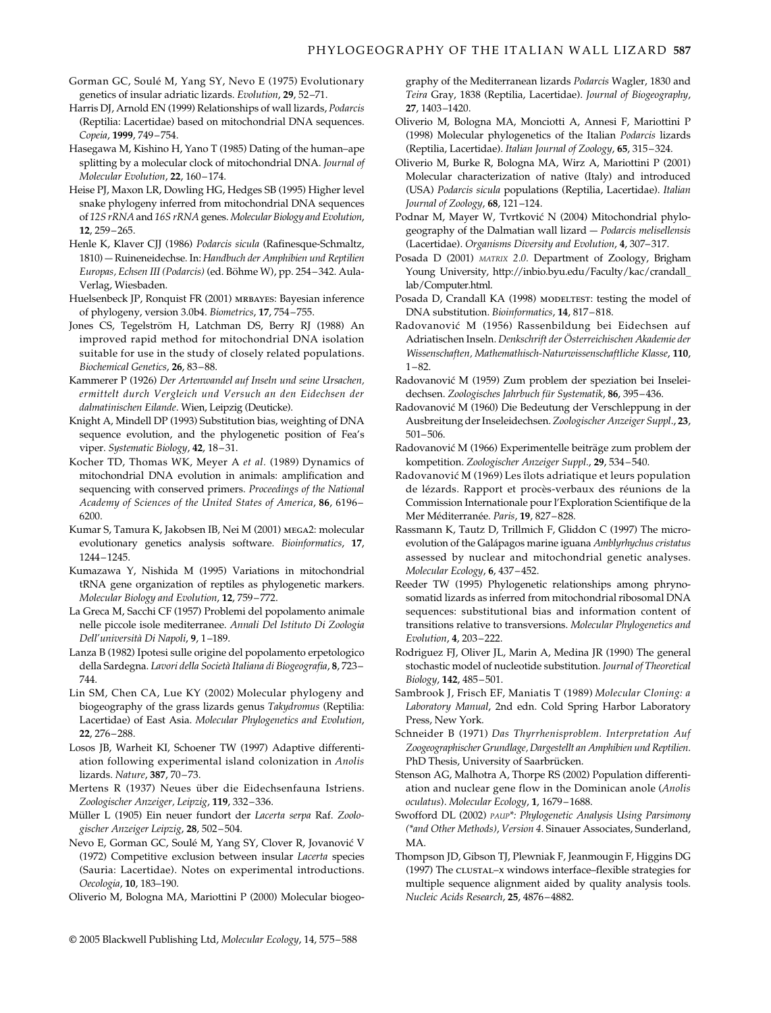- Gorman GC, Soulé M, Yang SY, Nevo E (1975) Evolutionary genetics of insular adriatic lizards. *Evolution*, **29**, 52–71.
- Harris DJ, Arnold EN (1999) Relationships of wall lizards, *Podarcis* (Reptilia: Lacertidae) based on mitochondrial DNA sequences. *Copeia*, **1999**, 749–754.
- Hasegawa M, Kishino H, Yano T (1985) Dating of the human–ape splitting by a molecular clock of mitochondrial DNA. *Journal of Molecular Evolution*, **22**, 160–174.
- Heise PJ, Maxon LR, Dowling HG, Hedges SB (1995) Higher level snake phylogeny inferred from mitochondrial DNA sequences of *12S rRNA* and *16S rRNA* genes. *Molecular Biology and Evolution*, **12**, 259–265.
- Henle K, Klaver CJJ (1986) *Podarcis sicula* (Rafinesque-Schmaltz, 1810) — Ruineneidechse. In: *Handbuch der Amphibien und Reptilien Europas, Echsen III (Podarcis)* (ed. Böhme W), pp. 254–342. Aula-Verlag, Wiesbaden.
- Huelsenbeck JP, Ronquist FR (2001) mrbayes: Bayesian inference of phylogeny, version 3.0b4. *Biometrics*, **17**, 754–755.
- Jones CS, Tegelström H, Latchman DS, Berry RJ (1988) An improved rapid method for mitochondrial DNA isolation suitable for use in the study of closely related populations. *Biochemical Genetics*, **26**, 83–88.
- Kammerer P (1926) *Der Artenwandel auf Inseln und seine Ursachen, ermittelt durch Vergleich und Versuch an den Eidechsen der dalmatinischen Eilande*. Wien, Leipzig (Deuticke).
- Knight A, Mindell DP (1993) Substitution bias, weighting of DNA sequence evolution, and the phylogenetic position of Fea's viper. *Systematic Biology*, **42**, 18–31.
- Kocher TD, Thomas WK, Meyer A *et al.* (1989) Dynamics of mitochondrial DNA evolution in animals: amplification and sequencing with conserved primers. *Proceedings of the National Academy of Sciences of the United States of America*, **86**, 6196– 6200.
- Kumar S, Tamura K, Jakobsen IB, Nei M (2001) mega2: molecular evolutionary genetics analysis software. *Bioinformatics*, **17**, 1244–1245.
- Kumazawa Y, Nishida M (1995) Variations in mitochondrial tRNA gene organization of reptiles as phylogenetic markers. *Molecular Biology and Evolution*, **12**, 759–772.
- La Greca M, Sacchi CF (1957) Problemi del popolamento animale nelle piccole isole mediterranee. *Annali Del Istituto Di Zoologia Dell'università Di Napoli*, **9**, 1–189.
- Lanza B (1982) Ipotesi sulle origine del popolamento erpetologico della Sardegna. *Lavori della Società Italiana di Biogeografia*, **8**, 723– 744.
- Lin SM, Chen CA, Lue KY (2002) Molecular phylogeny and biogeography of the grass lizards genus *Takydromus* (Reptilia: Lacertidae) of East Asia. *Molecular Phylogenetics and Evolution*, **22**, 276–288.
- Losos JB, Warheit KI, Schoener TW (1997) Adaptive differentiation following experimental island colonization in *Anolis* lizards. *Nature*, **387**, 70–73.
- Mertens R (1937) Neues über die Eidechsenfauna Istriens. *Zoologischer Anzeiger, Leipzig*, **119**, 332–336.
- Müller L (1905) Ein neuer fundort der *Lacerta serpa* Raf. *Zoologischer Anzeiger Leipzig*, **28**, 502–504.
- Nevo E, Gorman GC, Soulé M, Yang SY, Clover R, Jovanoviç V (1972) Competitive exclusion between insular *Lacerta* species (Sauria: Lacertidae). Notes on experimental introductions. *Oecologia*, **10**, 183–190.
- Oliverio M, Bologna MA, Mariottini P (2000) Molecular biogeo-

© 2005 Blackwell Publishing Ltd, *Molecular Ecology*, 14, 575–588

graphy of the Mediterranean lizards *Podarcis* Wagler, 1830 and *Teira* Gray, 1838 (Reptilia, Lacertidae). *Journal of Biogeography*, **27**, 1403–1420.

- Oliverio M, Bologna MA, Monciotti A, Annesi F, Mariottini P (1998) Molecular phylogenetics of the Italian *Podarcis* lizards (Reptilia, Lacertidae). *Italian Journal of Zoology*, **65**, 315–324.
- Oliverio M, Burke R, Bologna MA, Wirz A, Mariottini P (2001) Molecular characterization of native (Italy) and introduced (USA) *Podarcis sicula* populations (Reptilia, Lacertidae). *Italian Journal of Zoology*, **68**, 121–124.
- Podnar M, Mayer W, Tvrtkoviç N (2004) Mitochondrial phylogeography of the Dalmatian wall lizard — *Podarcis melisellensis* (Lacertidae). *Organisms Diversity and Evolution*, **4**, 307–317.
- Posada D (2001) *MATRIX 2.0.* Department of Zoology, Brigham Young University, http://inbio.byu.edu/Faculty/kac/crandall\_ lab/Computer.html.
- Posada D, Crandall KA (1998) MODELTEST: testing the model of DNA substitution. *Bioinformatics*, **14**, 817–818.
- Radovanoviç M (1956) Rassenbildung bei Eidechsen auf Adriatischen Inseln. *Denkschrift der Österreichischen Akademie der Wissenschaften, Mathemathisch-Naturwissenschaftliche Klasse*, **110**,  $1 - 82$ .
- Radovanoviç M (1959) Zum problem der speziation bei Inseleidechsen. *Zoologisches Jahrbuch für Systematik*, **86**, 395–436.
- Radovanoviç M (1960) Die Bedeutung der Verschleppung in der Ausbreitung der Inseleidechsen. *Zoologischer Anzeiger Suppl*., **23**, 501–506.
- Radovanoviç M (1966) Experimentelle beiträge zum problem der kompetition. *Zoologischer Anzeiger Suppl*., **29**, 534–540.
- Radovanoviç M (1969) Les îlots adriatique et leurs population de lézards. Rapport et procès-verbaux des réunions de la Commission Internationale pour l'Exploration Scientifique de la Mer Méditerranée. *Paris*, **19**, 827–828.
- Rassmann K, Tautz D, Trillmich F, Gliddon C (1997) The microevolution of the Galápagos marine iguana *Amblyrhychus cristatus* assessed by nuclear and mitochondrial genetic analyses. *Molecular Ecology*, **6**, 437–452.
- Reeder TW (1995) Phylogenetic relationships among phrynosomatid lizards as inferred from mitochondrial ribosomal DNA sequences: substitutional bias and information content of transitions relative to transversions. *Molecular Phylogenetics and Evolution*, **4**, 203–222.
- Rodriguez FJ, Oliver JL, Marin A, Medina JR (1990) The general stochastic model of nucleotide substitution. *Journal of Theoretical Biology*, **142**, 485–501.
- Sambrook J, Frisch EF, Maniatis T (1989) *Molecular Cloning: a Laboratory Manual*, 2nd edn. Cold Spring Harbor Laboratory Press, New York.
- Schneider B (1971) *Das Thyrrhenisproblem. Interpretation Auf Zoogeographischer Grundlage, Dargestellt an Amphibien und Reptilien*. PhD Thesis, University of Saarbrücken.
- Stenson AG, Malhotra A, Thorpe RS (2002) Population differentiation and nuclear gene flow in the Dominican anole (*Anolis oculatus*). *Molecular Ecology*, **1**, 1679–1688.
- Swofford DL (2002) *PAUP\*: Phylogenetic Analysis Using Parsimony (\*and Other Methods)*, *Version 4*. Sinauer Associates, Sunderland, MA.
- Thompson JD, Gibson TJ, Plewniak F, Jeanmougin F, Higgins DG (1997) The CLUSTAL–x windows interface–flexible strategies for multiple sequence alignment aided by quality analysis tools. *Nucleic Acids Research*, **25**, 4876–4882.